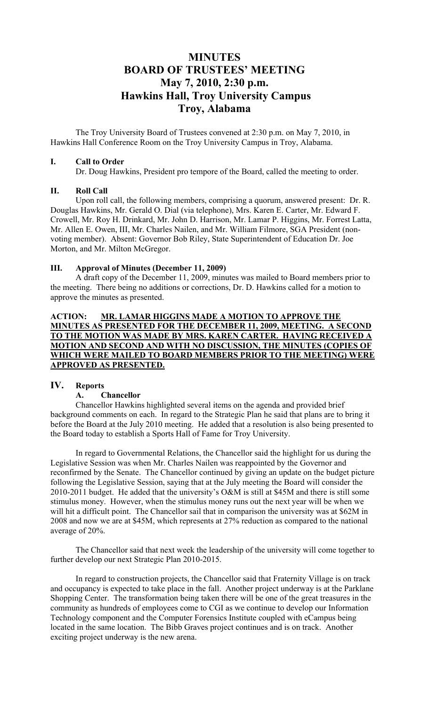# **MINUTES BOARD OF TRUSTEES' MEETING May 7, 2010, 2:30 p.m. Hawkins Hall, Troy University Campus Troy, Alabama**

The Troy University Board of Trustees convened at 2:30 p.m. on May 7, 2010, in Hawkins Hall Conference Room on the Troy University Campus in Troy, Alabama.

### **I. Call to Order**

Dr. Doug Hawkins, President pro tempore of the Board, called the meeting to order.

### **II. Roll Call**

Upon roll call, the following members, comprising a quorum, answered present: Dr. R. Douglas Hawkins, Mr. Gerald O. Dial (via telephone), Mrs. Karen E. Carter, Mr. Edward F. Crowell, Mr. Roy H. Drinkard, Mr. John D. Harrison, Mr. Lamar P. Higgins, Mr. Forrest Latta, Mr. Allen E. Owen, III, Mr. Charles Nailen, and Mr. William Filmore, SGA President (nonvoting member). Absent: Governor Bob Riley, State Superintendent of Education Dr. Joe Morton, and Mr. Milton McGregor.

### **III. Approval of Minutes (December 11, 2009)**

A draft copy of the December 11, 2009, minutes was mailed to Board members prior to the meeting. There being no additions or corrections, Dr. D. Hawkins called for a motion to approve the minutes as presented.

### **ACTION: MR. LAMAR HIGGINS MADE A MOTION TO APPROVE THE MINUTES AS PRESENTED FOR THE DECEMBER 11, 2009, MEETING. A SECOND TO THE MOTION WAS MADE BY MRS. KAREN CARTER. HAVING RECEIVED A MOTION AND SECOND AND WITH NO DISCUSSION, THE MINUTES (COPIES OF WHICH WERE MAILED TO BOARD MEMBERS PRIOR TO THE MEETING) WERE APPROVED AS PRESENTED.**

## **IV. Reports**

### **A. Chancellor**

Chancellor Hawkins highlighted several items on the agenda and provided brief background comments on each. In regard to the Strategic Plan he said that plans are to bring it before the Board at the July 2010 meeting. He added that a resolution is also being presented to the Board today to establish a Sports Hall of Fame for Troy University.

In regard to Governmental Relations, the Chancellor said the highlight for us during the Legislative Session was when Mr. Charles Nailen was reappointed by the Governor and reconfirmed by the Senate. The Chancellor continued by giving an update on the budget picture following the Legislative Session, saying that at the July meeting the Board will consider the 2010-2011 budget. He added that the university's O&M is still at \$45M and there is still some stimulus money. However, when the stimulus money runs out the next year will be when we will hit a difficult point. The Chancellor sail that in comparison the university was at \$62M in 2008 and now we are at \$45M, which represents at 27% reduction as compared to the national average of 20%.

The Chancellor said that next week the leadership of the university will come together to further develop our next Strategic Plan 2010-2015.

In regard to construction projects, the Chancellor said that Fraternity Village is on track and occupancy is expected to take place in the fall. Another project underway is at the Parklane Shopping Center. The transformation being taken there will be one of the great treasures in the community as hundreds of employees come to CGI as we continue to develop our Information Technology component and the Computer Forensics Institute coupled with eCampus being located in the same location. The Bibb Graves project continues and is on track. Another exciting project underway is the new arena.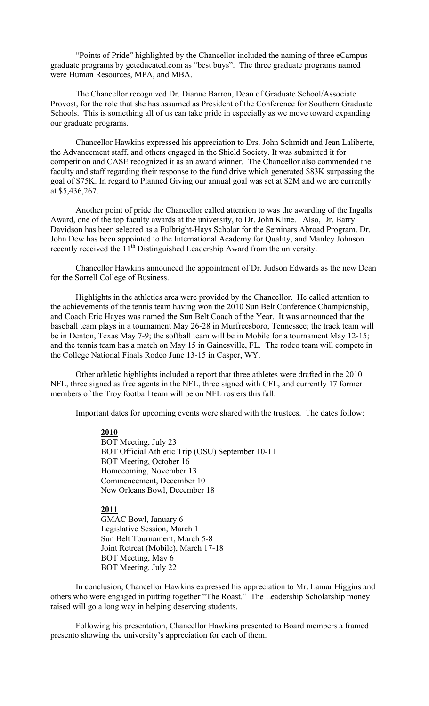"Points of Pride" highlighted by the Chancellor included the naming of three eCampus graduate programs by geteducated.com as "best buys". The three graduate programs named were Human Resources, MPA, and MBA.

The Chancellor recognized Dr. Dianne Barron, Dean of Graduate School/Associate Provost, for the role that she has assumed as President of the Conference for Southern Graduate Schools. This is something all of us can take pride in especially as we move toward expanding our graduate programs.

Chancellor Hawkins expressed his appreciation to Drs. John Schmidt and Jean Laliberte, the Advancement staff, and others engaged in the Shield Society. It was submitted it for competition and CASE recognized it as an award winner. The Chancellor also commended the faculty and staff regarding their response to the fund drive which generated \$83K surpassing the goal of \$75K. In regard to Planned Giving our annual goal was set at \$2M and we are currently at \$5,436,267.

Another point of pride the Chancellor called attention to was the awarding of the Ingalls Award, one of the top faculty awards at the university, to Dr. John Kline. Also, Dr. Barry Davidson has been selected as a Fulbright-Hays Scholar for the Seminars Abroad Program. Dr. John Dew has been appointed to the International Academy for Quality, and Manley Johnson recently received the 11<sup>th</sup> Distinguished Leadership Award from the university.

Chancellor Hawkins announced the appointment of Dr. Judson Edwards as the new Dean for the Sorrell College of Business.

Highlights in the athletics area were provided by the Chancellor. He called attention to the achievements of the tennis team having won the 2010 Sun Belt Conference Championship, and Coach Eric Hayes was named the Sun Belt Coach of the Year. It was announced that the baseball team plays in a tournament May 26-28 in Murfreesboro, Tennessee; the track team will be in Denton, Texas May 7-9; the softball team will be in Mobile for a tournament May 12-15; and the tennis team has a match on May 15 in Gainesville, FL. The rodeo team will compete in the College National Finals Rodeo June 13-15 in Casper, WY.

Other athletic highlights included a report that three athletes were drafted in the 2010 NFL, three signed as free agents in the NFL, three signed with CFL, and currently 17 former members of the Troy football team will be on NFL rosters this fall.

Important dates for upcoming events were shared with the trustees. The dates follow:

**2010**

BOT Meeting, July 23 BOT Official Athletic Trip (OSU) September 10-11 BOT Meeting, October 16 Homecoming, November 13 Commencement, December 10 New Orleans Bowl, December 18

#### **2011**

GMAC Bowl, January 6 Legislative Session, March 1 Sun Belt Tournament, March 5-8 Joint Retreat (Mobile), March 17-18 BOT Meeting, May 6 BOT Meeting, July 22

In conclusion, Chancellor Hawkins expressed his appreciation to Mr. Lamar Higgins and others who were engaged in putting together "The Roast." The Leadership Scholarship money raised will go a long way in helping deserving students.

Following his presentation, Chancellor Hawkins presented to Board members a framed presento showing the university's appreciation for each of them.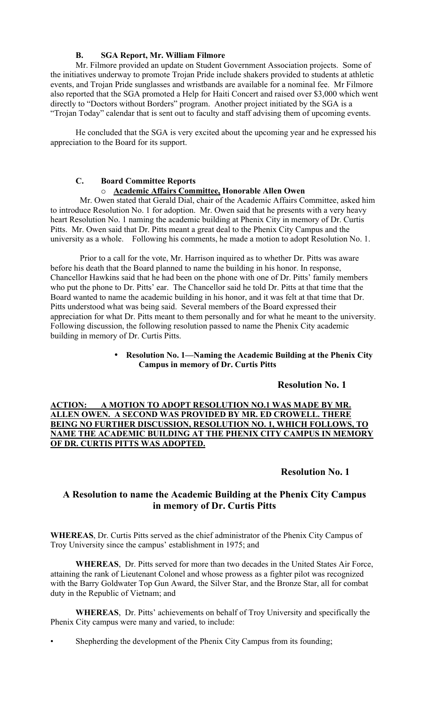### **B. SGA Report, Mr. William Filmore**

Mr. Filmore provided an update on Student Government Association projects. Some of the initiatives underway to promote Trojan Pride include shakers provided to students at athletic events, and Trojan Pride sunglasses and wristbands are available for a nominal fee. Mr Filmore also reported that the SGA promoted a Help for Haiti Concert and raised over \$3,000 which went directly to "Doctors without Borders" program. Another project initiated by the SGA is a "Trojan Today" calendar that is sent out to faculty and staff advising them of upcoming events.

He concluded that the SGA is very excited about the upcoming year and he expressed his appreciation to the Board for its support.

## **C. Board Committee Reports**

#### o **Academic Affairs Committee, Honorable Allen Owen**

Mr. Owen stated that Gerald Dial, chair of the Academic Affairs Committee, asked him to introduce Resolution No. 1 for adoption. Mr. Owen said that he presents with a very heavy heart Resolution No. 1 naming the academic building at Phenix City in memory of Dr. Curtis Pitts. Mr. Owen said that Dr. Pitts meant a great deal to the Phenix City Campus and the university as a whole. Following his comments, he made a motion to adopt Resolution No. 1.

Prior to a call for the vote, Mr. Harrison inquired as to whether Dr. Pitts was aware before his death that the Board planned to name the building in his honor. In response, Chancellor Hawkins said that he had been on the phone with one of Dr. Pitts' family members who put the phone to Dr. Pitts' ear. The Chancellor said he told Dr. Pitts at that time that the Board wanted to name the academic building in his honor, and it was felt at that time that Dr. Pitts understood what was being said. Several members of the Board expressed their appreciation for what Dr. Pitts meant to them personally and for what he meant to the university. Following discussion, the following resolution passed to name the Phenix City academic building in memory of Dr. Curtis Pitts.

### • **Resolution No. 1—Naming the Academic Building at the Phenix City Campus in memory of Dr. Curtis Pitts**

### **Resolution No. 1**

**ACTION: A MOTION TO ADOPT RESOLUTION NO.1 WAS MADE BY MR. ALLEN OWEN. A SECOND WAS PROVIDED BY MR. ED CROWELL. THERE BEING NO FURTHER DISCUSSION, RESOLUTION NO. 1, WHICH FOLLOWS, TO NAME THE ACADEMIC BUILDING AT THE PHENIX CITY CAMPUS IN MEMORY OF DR. CURTIS PITTS WAS ADOPTED.**

## **Resolution No. 1**

## **A Resolution to name the Academic Building at the Phenix City Campus in memory of Dr. Curtis Pitts**

**WHEREAS**, Dr. Curtis Pitts served as the chief administrator of the Phenix City Campus of Troy University since the campus' establishment in 1975; and

**WHEREAS**, Dr. Pitts served for more than two decades in the United States Air Force, attaining the rank of Lieutenant Colonel and whose prowess as a fighter pilot was recognized with the Barry Goldwater Top Gun Award, the Silver Star, and the Bronze Star, all for combat duty in the Republic of Vietnam; and

**WHEREAS**, Dr. Pitts' achievements on behalf of Troy University and specifically the Phenix City campus were many and varied, to include:

• Shepherding the development of the Phenix City Campus from its founding;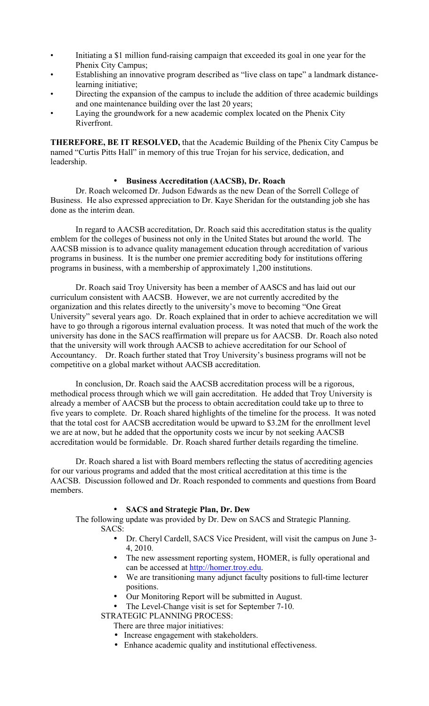- Initiating a \$1 million fund-raising campaign that exceeded its goal in one year for the Phenix City Campus;
- Establishing an innovative program described as "live class on tape" a landmark distancelearning initiative;
- Directing the expansion of the campus to include the addition of three academic buildings and one maintenance building over the last 20 years;
- Laying the groundwork for a new academic complex located on the Phenix City Riverfront.

**THEREFORE, BE IT RESOLVED,** that the Academic Building of the Phenix City Campus be named "Curtis Pitts Hall" in memory of this true Trojan for his service, dedication, and leadership.

### • **Business Accreditation (AACSB), Dr. Roach**

Dr. Roach welcomed Dr. Judson Edwards as the new Dean of the Sorrell College of Business. He also expressed appreciation to Dr. Kaye Sheridan for the outstanding job she has done as the interim dean.

In regard to AACSB accreditation, Dr. Roach said this accreditation status is the quality emblem for the colleges of business not only in the United States but around the world. The AACSB mission is to advance quality management education through accreditation of various programs in business. It is the number one premier accrediting body for institutions offering programs in business, with a membership of approximately 1,200 institutions.

Dr. Roach said Troy University has been a member of AASCS and has laid out our curriculum consistent with AACSB. However, we are not currently accredited by the organization and this relates directly to the university's move to becoming "One Great University" several years ago. Dr. Roach explained that in order to achieve accreditation we will have to go through a rigorous internal evaluation process. It was noted that much of the work the university has done in the SACS reaffirmation will prepare us for AACSB. Dr. Roach also noted that the university will work through AACSB to achieve accreditation for our School of Accountancy. Dr. Roach further stated that Troy University's business programs will not be competitive on a global market without AACSB accreditation.

In conclusion, Dr. Roach said the AACSB accreditation process will be a rigorous, methodical process through which we will gain accreditation. He added that Troy University is already a member of AACSB but the process to obtain accreditation could take up to three to five years to complete. Dr. Roach shared highlights of the timeline for the process. It was noted that the total cost for AACSB accreditation would be upward to \$3.2M for the enrollment level we are at now, but he added that the opportunity costs we incur by not seeking AACSB accreditation would be formidable. Dr. Roach shared further details regarding the timeline.

Dr. Roach shared a list with Board members reflecting the status of accrediting agencies for our various programs and added that the most critical accreditation at this time is the AACSB. Discussion followed and Dr. Roach responded to comments and questions from Board members.

### • **SACS and Strategic Plan, Dr. Dew**

The following update was provided by Dr. Dew on SACS and Strategic Planning. SACS:

- Dr. Cheryl Cardell, SACS Vice President, will visit the campus on June 3- 4, 2010.
- The new assessment reporting system, HOMER, is fully operational and can be accessed at http://homer.troy.edu.
- We are transitioning many adjunct faculty positions to full-time lecturer positions.
- Our Monitoring Report will be submitted in August.
- The Level-Change visit is set for September 7-10.

STRATEGIC PLANNING PROCESS:

There are three major initiatives:

- Increase engagement with stakeholders.
- Enhance academic quality and institutional effectiveness.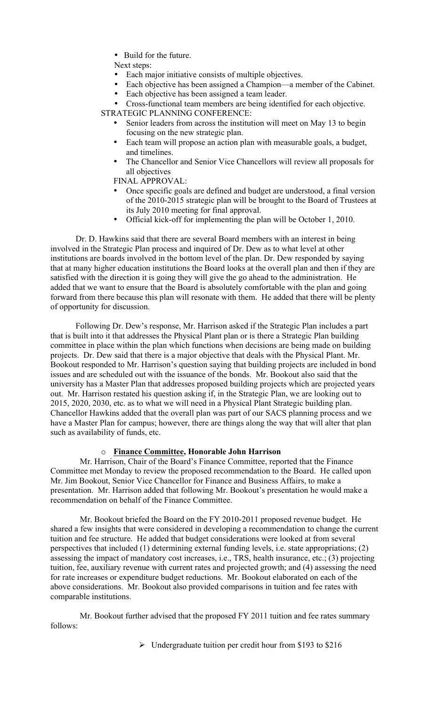- Build for the future.
- Next steps:
- Each major initiative consists of multiple objectives.
- Each objective has been assigned a Champion—a member of the Cabinet.<br>• Each objective has been assigned a team leader
	- Each objective has been assigned a team leader.

• Cross-functional team members are being identified for each objective.

- STRATEGIC PLANNING CONFERENCE:
	- Senior leaders from across the institution will meet on May 13 to begin focusing on the new strategic plan.
	- Each team will propose an action plan with measurable goals, a budget, and timelines.
	- The Chancellor and Senior Vice Chancellors will review all proposals for all objectives
	- FINAL APPROVAL:
	- Once specific goals are defined and budget are understood, a final version of the 2010-2015 strategic plan will be brought to the Board of Trustees at its July 2010 meeting for final approval.
	- Official kick-off for implementing the plan will be October 1, 2010.

Dr. D. Hawkins said that there are several Board members with an interest in being involved in the Strategic Plan process and inquired of Dr. Dew as to what level at other institutions are boards involved in the bottom level of the plan. Dr. Dew responded by saying that at many higher education institutions the Board looks at the overall plan and then if they are satisfied with the direction it is going they will give the go ahead to the administration. He added that we want to ensure that the Board is absolutely comfortable with the plan and going forward from there because this plan will resonate with them. He added that there will be plenty of opportunity for discussion.

Following Dr. Dew's response, Mr. Harrison asked if the Strategic Plan includes a part that is built into it that addresses the Physical Plant plan or is there a Strategic Plan building committee in place within the plan which functions when decisions are being made on building projects. Dr. Dew said that there is a major objective that deals with the Physical Plant. Mr. Bookout responded to Mr. Harrison's question saying that building projects are included in bond issues and are scheduled out with the issuance of the bonds. Mr. Bookout also said that the university has a Master Plan that addresses proposed building projects which are projected years out. Mr. Harrison restated his question asking if, in the Strategic Plan, we are looking out to 2015, 2020, 2030, etc. as to what we will need in a Physical Plant Strategic building plan. Chancellor Hawkins added that the overall plan was part of our SACS planning process and we have a Master Plan for campus; however, there are things along the way that will alter that plan such as availability of funds, etc.

#### o **Finance Committee, Honorable John Harrison**

Mr. Harrison, Chair of the Board's Finance Committee, reported that the Finance Committee met Monday to review the proposed recommendation to the Board. He called upon Mr. Jim Bookout, Senior Vice Chancellor for Finance and Business Affairs, to make a presentation. Mr. Harrison added that following Mr. Bookout's presentation he would make a recommendation on behalf of the Finance Committee.

Mr. Bookout briefed the Board on the FY 2010-2011 proposed revenue budget. He shared a few insights that were considered in developing a recommendation to change the current tuition and fee structure. He added that budget considerations were looked at from several perspectives that included (1) determining external funding levels, i.e. state appropriations; (2) assessing the impact of mandatory cost increases, i.e., TRS, health insurance, etc.; (3) projecting tuition, fee, auxiliary revenue with current rates and projected growth; and (4) assessing the need for rate increases or expenditure budget reductions. Mr. Bookout elaborated on each of the above considerations. Mr. Bookout also provided comparisons in tuition and fee rates with comparable institutions.

Mr. Bookout further advised that the proposed FY 2011 tuition and fee rates summary follows:

 $\triangleright$  Undergraduate tuition per credit hour from \$193 to \$216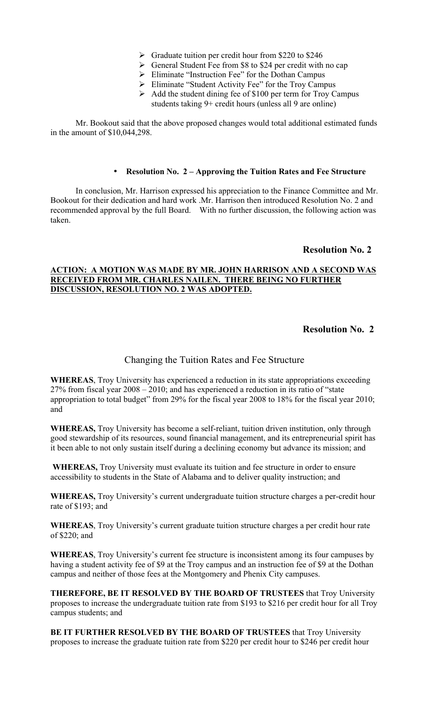- $\triangleright$  Graduate tuition per credit hour from \$220 to \$246
- General Student Fee from \$8 to \$24 per credit with no cap
- Eliminate "Instruction Fee" for the Dothan Campus
- $\triangleright$  Eliminate "Student Activity Fee" for the Troy Campus
- $\triangleright$  Add the student dining fee of \$100 per term for Troy Campus students taking 9+ credit hours (unless all 9 are online)

Mr. Bookout said that the above proposed changes would total additional estimated funds in the amount of \$10,044,298.

#### • **Resolution No. 2 – Approving the Tuition Rates and Fee Structure**

In conclusion, Mr. Harrison expressed his appreciation to the Finance Committee and Mr. Bookout for their dedication and hard work .Mr. Harrison then introduced Resolution No. 2 and recommended approval by the full Board. With no further discussion, the following action was taken.

## **Resolution No. 2**

#### **ACTION: A MOTION WAS MADE BY MR. JOHN HARRISON AND A SECOND WAS RECEIVED FROM MR. CHARLES NAILEN. THERE BEING NO FURTHER DISCUSSION, RESOLUTION NO. 2 WAS ADOPTED.**

## **Resolution No. 2**

## Changing the Tuition Rates and Fee Structure

**WHEREAS**, Troy University has experienced a reduction in its state appropriations exceeding 27% from fiscal year 2008 – 2010; and has experienced a reduction in its ratio of "state appropriation to total budget" from 29% for the fiscal year 2008 to 18% for the fiscal year 2010; and

**WHEREAS,** Troy University has become a self-reliant, tuition driven institution, only through good stewardship of its resources, sound financial management, and its entrepreneurial spirit has it been able to not only sustain itself during a declining economy but advance its mission; and

**WHEREAS,** Troy University must evaluate its tuition and fee structure in order to ensure accessibility to students in the State of Alabama and to deliver quality instruction; and

**WHEREAS,** Troy University's current undergraduate tuition structure charges a per-credit hour rate of \$193; and

**WHEREAS**, Troy University's current graduate tuition structure charges a per credit hour rate of \$220; and

**WHEREAS**, Troy University's current fee structure is inconsistent among its four campuses by having a student activity fee of \$9 at the Troy campus and an instruction fee of \$9 at the Dothan campus and neither of those fees at the Montgomery and Phenix City campuses.

**THEREFORE, BE IT RESOLVED BY THE BOARD OF TRUSTEES** that Troy University proposes to increase the undergraduate tuition rate from \$193 to \$216 per credit hour for all Troy campus students; and

**BE IT FURTHER RESOLVED BY THE BOARD OF TRUSTEES** that Troy University proposes to increase the graduate tuition rate from \$220 per credit hour to \$246 per credit hour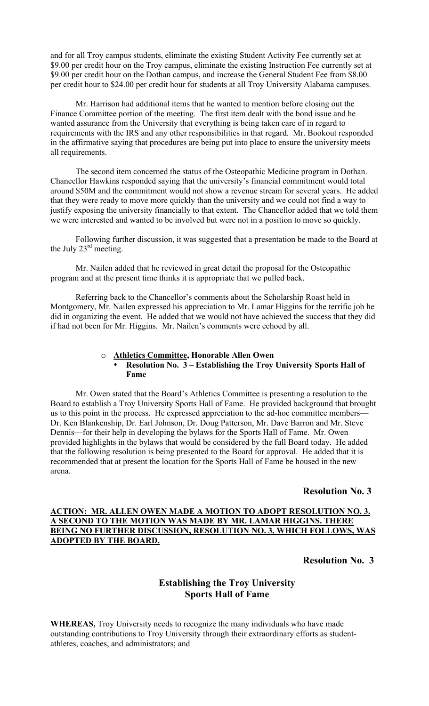and for all Troy campus students, eliminate the existing Student Activity Fee currently set at \$9.00 per credit hour on the Troy campus, eliminate the existing Instruction Fee currently set at \$9.00 per credit hour on the Dothan campus, and increase the General Student Fee from \$8.00 per credit hour to \$24.00 per credit hour for students at all Troy University Alabama campuses.

Mr. Harrison had additional items that he wanted to mention before closing out the Finance Committee portion of the meeting. The first item dealt with the bond issue and he wanted assurance from the University that everything is being taken care of in regard to requirements with the IRS and any other responsibilities in that regard. Mr. Bookout responded in the affirmative saying that procedures are being put into place to ensure the university meets all requirements.

The second item concerned the status of the Osteopathic Medicine program in Dothan. Chancellor Hawkins responded saying that the university's financial commitment would total around \$50M and the commitment would not show a revenue stream for several years. He added that they were ready to move more quickly than the university and we could not find a way to justify exposing the university financially to that extent. The Chancellor added that we told them we were interested and wanted to be involved but were not in a position to move so quickly.

Following further discussion, it was suggested that a presentation be made to the Board at the July  $23<sup>rd</sup>$  meeting.

Mr. Nailen added that he reviewed in great detail the proposal for the Osteopathic program and at the present time thinks it is appropriate that we pulled back.

Referring back to the Chancellor's comments about the Scholarship Roast held in Montgomery, Mr. Nailen expressed his appreciation to Mr. Lamar Higgins for the terrific job he did in organizing the event. He added that we would not have achieved the success that they did if had not been for Mr. Higgins. Mr. Nailen's comments were echoed by all.

## o **Athletics Committee, Honorable Allen Owen**

#### • **Resolution No. 3 – Establishing the Troy University Sports Hall of Fame**

Mr. Owen stated that the Board's Athletics Committee is presenting a resolution to the Board to establish a Troy University Sports Hall of Fame. He provided background that brought us to this point in the process. He expressed appreciation to the ad-hoc committee members— Dr. Ken Blankenship, Dr. Earl Johnson, Dr. Doug Patterson, Mr. Dave Barron and Mr. Steve Dennis—for their help in developing the bylaws for the Sports Hall of Fame. Mr. Owen provided highlights in the bylaws that would be considered by the full Board today. He added that the following resolution is being presented to the Board for approval. He added that it is recommended that at present the location for the Sports Hall of Fame be housed in the new arena.

## **Resolution No. 3**

### **ACTION: MR. ALLEN OWEN MADE A MOTION TO ADOPT RESOLUTION NO. 3. A SECOND TO THE MOTION WAS MADE BY MR. LAMAR HIGGINS. THERE BEING NO FURTHER DISCUSSION, RESOLUTION NO. 3, WHICH FOLLOWS, WAS ADOPTED BY THE BOARD.**

## **Resolution No. 3**

## **Establishing the Troy University Sports Hall of Fame**

**WHEREAS,** Troy University needs to recognize the many individuals who have made outstanding contributions to Troy University through their extraordinary efforts as studentathletes, coaches, and administrators; and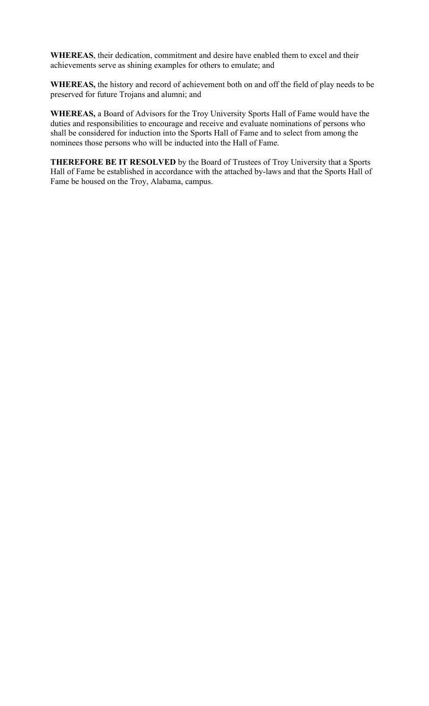**WHEREAS**, their dedication, commitment and desire have enabled them to excel and their achievements serve as shining examples for others to emulate; and

**WHEREAS,** the history and record of achievement both on and off the field of play needs to be preserved for future Trojans and alumni; and

**WHEREAS,** a Board of Advisors for the Troy University Sports Hall of Fame would have the duties and responsibilities to encourage and receive and evaluate nominations of persons who shall be considered for induction into the Sports Hall of Fame and to select from among the nominees those persons who will be inducted into the Hall of Fame.

**THEREFORE BE IT RESOLVED** by the Board of Trustees of Troy University that a Sports Hall of Fame be established in accordance with the attached by-laws and that the Sports Hall of Fame be housed on the Troy, Alabama, campus.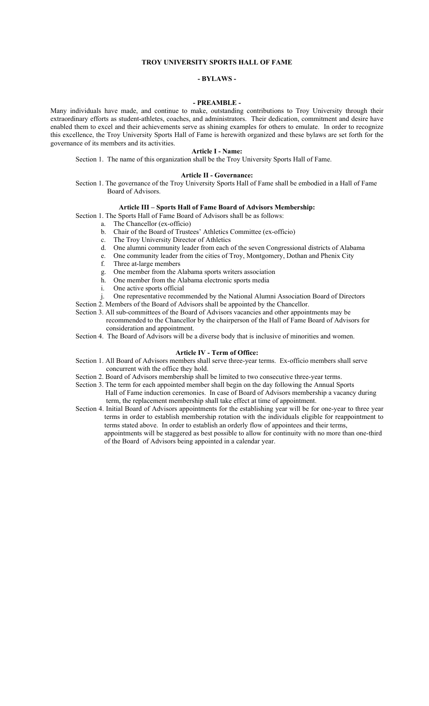#### **TROY UNIVERSITY SPORTS HALL OF FAME**

#### **- BYLAWS -**

#### **- PREAMBLE -**

Many individuals have made, and continue to make, outstanding contributions to Troy University through their extraordinary efforts as student-athletes, coaches, and administrators. Their dedication, commitment and desire have enabled them to excel and their achievements serve as shining examples for others to emulate. In order to recognize this excellence, the Troy University Sports Hall of Fame is herewith organized and these bylaws are set forth for the governance of its members and its activities.

#### **Article I - Name:**

Section 1. The name of this organization shall be the Troy University Sports Hall of Fame.

#### **Article II - Governance:**

Section 1. The governance of the Troy University Sports Hall of Fame shall be embodied in a Hall of Fame Board of Advisors.

#### **Article III – Sports Hall of Fame Board of Advisors Membership:**

- Section 1. The Sports Hall of Fame Board of Advisors shall be as follows:
	- a. The Chancellor (ex-officio)
	- b. Chair of the Board of Trustees' Athletics Committee (ex-officio)
	- c. The Troy University Director of Athletics
	- d. One alumni community leader from each of the seven Congressional districts of Alabama
	- e. One community leader from the cities of Troy, Montgomery, Dothan and Phenix City
	- f. Three at-large members
	- g. One member from the Alabama sports writers association
	- h. One member from the Alabama electronic sports media
	- i. One active sports official
	- One representative recommended by the National Alumni Association Board of Directors

Section 2. Members of the Board of Advisors shall be appointed by the Chancellor.

- Section 3. All sub-committees of the Board of Advisors vacancies and other appointments may be recommended to the Chancellor by the chairperson of the Hall of Fame Board of Advisors for consideration and appointment.
- Section 4. The Board of Advisors will be a diverse body that is inclusive of minorities and women.

#### **Article IV - Term of Office:**

- Section 1. All Board of Advisors members shall serve three-year terms. Ex-officio members shall serve concurrent with the office they hold.
- Section 2. Board of Advisors membership shall be limited to two consecutive three-year terms.
- Section 3. The term for each appointed member shall begin on the day following the Annual Sports Hall of Fame induction ceremonies. In case of Board of Advisors membership a vacancy during term, the replacement membership shall take effect at time of appointment.
- Section 4. Initial Board of Advisors appointments for the establishing year will be for one-year to three year terms in order to establish membership rotation with the individuals eligible for reappointment to terms stated above. In order to establish an orderly flow of appointees and their terms, appointments will be staggered as best possible to allow for continuity with no more than one-third of the Board of Advisors being appointed in a calendar year.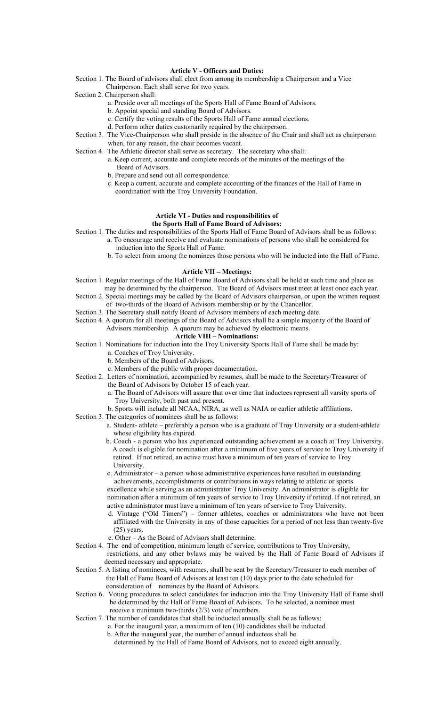#### **Article V - Officers and Duties:**

- Section 1. The Board of advisors shall elect from among its membership a Chairperson and a Vice Chairperson. Each shall serve for two years.
- Section 2. Chairperson shall:
	- a. Preside over all meetings of the Sports Hall of Fame Board of Advisors.
	- b. Appoint special and standing Board of Advisors.
	- c. Certify the voting results of the Sports Hall of Fame annual elections.
	- d. Perform other duties customarily required by the chairperson.
- Section 3. The Vice-Chairperson who shall preside in the absence of the Chair and shall act as chairperson when, for any reason, the chair becomes vacant.
- Section 4. The Athletic director shall serve as secretary. The secretary who shall:
	- a. Keep current, accurate and complete records of the minutes of the meetings of the Board of Advisors.
	- b. Prepare and send out all correspondence.
	- c. Keep a current, accurate and complete accounting of the finances of the Hall of Fame in coordination with the Troy University Foundation.

#### **Article VI - Duties and responsibilities of the Sports Hall of Fame Board of Advisors:**

Section 1. The duties and responsibilities of the Sports Hall of Fame Board of Advisors shall be as follows: a. To encourage and receive and evaluate nominations of persons who shall be considered for

- induction into the Sports Hall of Fame.
- b. To select from among the nominees those persons who will be inducted into the Hall of Fame.

#### **Article VII – Meetings:**

- Section 1. Regular meetings of the Hall of Fame Board of Advisors shall be held at such time and place as may be determined by the chairperson. The Board of Advisors must meet at least once each year.
- Section 2. Special meetings may be called by the Board of Advisors chairperson, or upon the written request of two-thirds of the Board of Advisors membership or by the Chancellor.
- Section 3. The Secretary shall notify Board of Advisors members of each meeting date.
- Section 4. A quorum for all meetings of the Board of Advisors shall be a simple majority of the Board of

Advisors membership. A quorum may be achieved by electronic means.

### **Article VIII – Nominations:**

- Section 1. Nominations for induction into the Troy University Sports Hall of Fame shall be made by:
	- a. Coaches of Troy University. b. Members of the Board of Advisors.
	-
	- c. Members of the public with proper documentation.
- Section 2. Letters of nomination, accompanied by resumes, shall be made to the Secretary/Treasurer of the Board of Advisors by October 15 of each year.
	- a. The Board of Advisors will assure that over time that inductees represent all varsity sports of Troy University, both past and present.
	- b. Sports will include all NCAA, NIRA, as well as NAIA or earlier athletic affiliations.
- Section 3. The categories of nominees shall be as follows:
	- a. Student- athlete preferably a person who is a graduate of Troy University or a student-athlete whose eligibility has expired.
	- b. Coach a person who has experienced outstanding achievement as a coach at Troy University. A coach is eligible for nomination after a minimum of five years of service to Troy University if retired. If not retired, an active must have a minimum of ten years of service to Troy University.
	- c. Administrator a person whose administrative experiences have resulted in outstanding achievements, accomplishments or contributions in ways relating to athletic or sports excellence while serving as an administrator Troy University. An administrator is eligible for nomination after a minimum of ten years of service to Troy University if retired. If not retired, an active administrator must have a minimum of ten years of service to Troy University.
	- d. Vintage ("Old Timers") former athletes, coaches or administrators who have not been affiliated with the University in any of those capacities for a period of not less than twenty-five  $(25)$  years.
	- e. Other As the Board of Advisors shall determine.
- Section 4. The end of competition, minimum length of service, contributions to Troy University, restrictions, and any other bylaws may be waived by the Hall of Fame Board of Advisors if deemed necessary and appropriate.
- Section 5. A listing of nominees, with resumes, shall be sent by the Secretary/Treasurer to each member of the Hall of Fame Board of Advisors at least ten (10) days prior to the date scheduled for consideration of nominees by the Board of Advisors.
- Section 6. Voting procedures to select candidates for induction into the Troy University Hall of Fame shall be determined by the Hall of Fame Board of Advisors. To be selected, a nominee must receive a minimum two-thirds (2/3) vote of members.
- Section 7. The number of candidates that shall be inducted annually shall be as follows:
	- a. For the inaugural year, a maximum of ten (10) candidates shall be inducted.
		- b. After the inaugural year, the number of annual inductees shall be
			- determined by the Hall of Fame Board of Advisors, not to exceed eight annually.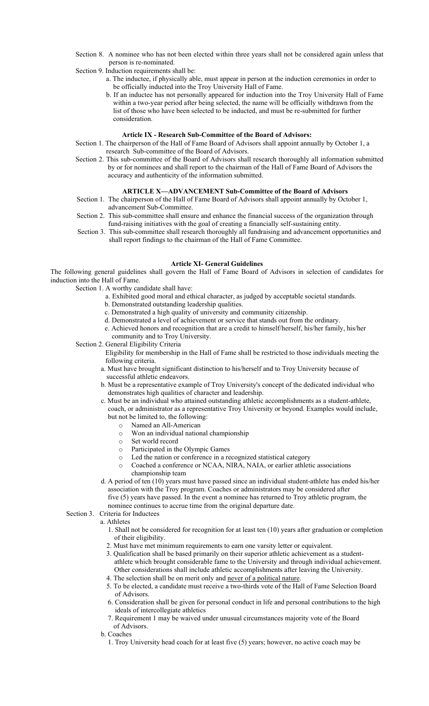- Section 8. A nominee who has not been elected within three years shall not be considered again unless that person is re-nominated.
- Section 9. Induction requirements shall be:
	- a. The inductee, if physically able, must appear in person at the induction ceremonies in order to be officially inducted into the Troy University Hall of Fame.
	- b. If an inductee has not personally appeared for induction into the Troy University Hall of Fame within a two-year period after being selected, the name will be officially withdrawn from the list of those who have been selected to be inducted, and must be re-submitted for further consideration.

#### **Article IX - Research Sub-Committee of the Board of Advisors:**

- Section 1. The chairperson of the Hall of Fame Board of Advisors shall appoint annually by October 1, a research Sub-committee of the Board of Advisors.
- Section 2. This sub-committee of the Board of Advisors shall research thoroughly all information submitted by or for nominees and shall report to the chairman of the Hall of Fame Board of Advisors the accuracy and authenticity of the information submitted.

#### **ARTICLE X—ADVANCEMENT Sub-Committee of the Board of Advisors**

- Section 1. The chairperson of the Hall of Fame Board of Advisors shall appoint annually by October 1, advancement Sub-Committee.
- Section 2. This sub-committee shall ensure and enhance the financial success of the organization through fund-raising initiatives with the goal of creating a financially self-sustaining entity.
- Section 3. This sub-committee shall research thoroughly all fundraising and advancement opportunities and shall report findings to the chairman of the Hall of Fame Committee.

#### **Article XI- General Guidelines**

The following general guidelines shall govern the Hall of Fame Board of Advisors in selection of candidates for induction into the Hall of Fame.

Section 1. A worthy candidate shall have:

- a. Exhibited good moral and ethical character, as judged by acceptable societal standards.
- b. Demonstrated outstanding leadership qualities.
- c. Demonstrated a high quality of university and community citizenship.
- d. Demonstrated a level of achievement or service that stands out from the ordinary.
- e. Achieved honors and recognition that are a credit to himself/herself, his/her family, his/her community and to Troy University.
- Section 2. General Eligibility Criteria

 Eligibility for membership in the Hall of Fame shall be restricted to those individuals meeting the following criteria.

- a. Must have brought significant distinction to his/herself and to Troy University because of successful athletic endeavors.
- b. Must be a representative example of Troy University's concept of the dedicated individual who demonstrates high qualities of character and leadership.
- c. Must be an individual who attained outstanding athletic accomplishments as a student-athlete, coach, or administrator as a representative Troy University or beyond. Examples would include, but not be limited to, the following:
	- o Named an All-American
	- o Won an individual national championship
	- o Set world record
	- o Participated in the Olympic Games
	- o Led the nation or conference in a recognized statistical category
	- o Coached a conference or NCAA, NIRA, NAIA, or earlier athletic associations championship team
- d. A period of ten (10) years must have passed since an individual student-athlete has ended his/her association with the Troy program. Coaches or administrators may be considered after five (5) years have passed. In the event a nominee has returned to Troy athletic program, the nominee continues to accrue time from the original departure date.

#### Section 3. Criteria for Inductees

- a. Athletes
	- 1. Shall not be considered for recognition for at least ten (10) years after graduation or completion of their eligibility.
	- 2. Must have met minimum requirements to earn one varsity letter or equivalent.
	- 3. Qualification shall be based primarily on their superior athletic achievement as a studentathlete which brought considerable fame to the University and through individual achievement. Other considerations shall include athletic accomplishments after leaving the University.
	- 4. The selection shall be on merit only and never of a political nature.
	- 5. To be elected, a candidate must receive a two-thirds vote of the Hall of Fame Selection Board of Advisors.
	- 6. Consideration shall be given for personal conduct in life and personal contributions to the high ideals of intercollegiate athletics
	- 7. Requirement 1 may be waived under unusual circumstances majority vote of the Board of Advisors.
	- b. Coaches
		- 1. Troy University head coach for at least five (5) years; however, no active coach may be